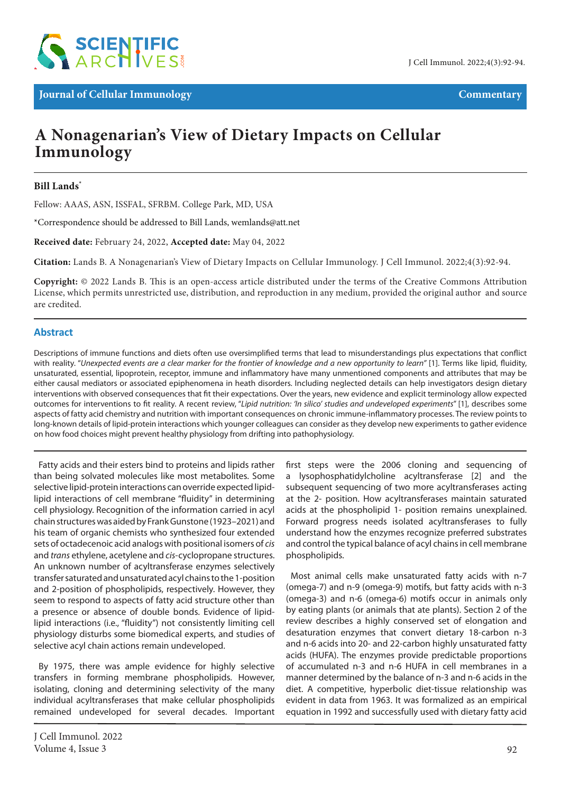

## **A Nonagenarian's View of Dietary Impacts on Cellular Immunology**

## **Bill Lands**<sup>\*</sup>

Fellow: AAAS, ASN, ISSFAL, SFRBM. College Park, MD, USA

\*Correspondence should be addressed to Bill Lands, wemlands@att.net

**Received date:** February 24, 2022, **Accepted date:** May 04, 2022

**Citation:** Lands B. A Nonagenarian's View of Dietary Impacts on Cellular Immunology. J Cell Immunol. 2022;4(3):92-94.

**Copyright:** © 2022 Lands B. This is an open-access article distributed under the terms of the Creative Commons Attribution License, which permits unrestricted use, distribution, and reproduction in any medium, provided the original author and source are credited.

## **Abstract**

Descriptions of immune functions and diets often use oversimplified terms that lead to misunderstandings plus expectations that conflict with reality. "*Unexpected events are a clear marker for the frontier of knowledge and a new opportunity to learn"* [1]. Terms like lipid, fluidity, unsaturated, essential, lipoprotein, receptor, immune and inflammatory have many unmentioned components and attributes that may be either causal mediators or associated epiphenomena in heath disorders. Including neglected details can help investigators design dietary interventions with observed consequences that fit their expectations. Over the years, new evidence and explicit terminology allow expected outcomes for interventions to fit reality. A recent review, "*Lipid nutrition: 'In silico' studies and undeveloped experiments*" [1], describes some aspects of fatty acid chemistry and nutrition with important consequences on chronic immune-inflammatory processes. The review points to long-known details of lipid-protein interactions which younger colleagues can consider as they develop new experiments to gather evidence on how food choices might prevent healthy physiology from drifting into pathophysiology.

Fatty acids and their esters bind to proteins and lipids rather than being solvated molecules like most metabolites. Some selective lipid-protein interactions can override expected lipidlipid interactions of cell membrane "fluidity" in determining cell physiology. Recognition of the information carried in acyl chain structures was aided by Frank Gunstone (1923–2021) and his team of organic chemists who synthesized four extended sets of octadecenoic acid analogs with positional isomers of *cis* and *trans* ethylene, acetylene and *cis*-cyclopropane structures. An unknown number of acyltransferase enzymes selectively transfer saturated and unsaturated acyl chains to the 1-position and 2-position of phospholipids, respectively. However, they seem to respond to aspects of fatty acid structure other than a presence or absence of double bonds. Evidence of lipidlipid interactions (i.e., "fluidity") not consistently limiting cell physiology disturbs some biomedical experts, and studies of selective acyl chain actions remain undeveloped.

By 1975, there was ample evidence for highly selective transfers in forming membrane phospholipids. However, isolating, cloning and determining selectivity of the many individual acyltransferases that make cellular phospholipids remained undeveloped for several decades. Important first steps were the 2006 cloning and sequencing of a lysophosphatidylcholine acyltransferase [2] and the subsequent sequencing of two more acyltransferases acting at the 2- position. How acyltransferases maintain saturated acids at the phospholipid 1- position remains unexplained. Forward progress needs isolated acyltransferases to fully understand how the enzymes recognize preferred substrates and control the typical balance of acyl chains in cell membrane phospholipids.

Most animal cells make unsaturated fatty acids with n-7 (omega-7) and n-9 (omega-9) motifs, but fatty acids with n-3 (omega-3) and n-6 (omega-6) motifs occur in animals only by eating plants (or animals that ate plants). Section 2 of the review describes a highly conserved set of elongation and desaturation enzymes that convert dietary 18-carbon n-3 and n-6 acids into 20- and 22-carbon highly unsaturated fatty acids (HUFA). The enzymes provide predictable proportions of accumulated n-3 and n-6 HUFA in cell membranes in a manner determined by the balance of n-3 and n-6 acids in the diet. A competitive, hyperbolic diet-tissue relationship was evident in data from 1963. It was formalized as an empirical equation in 1992 and successfully used with dietary fatty acid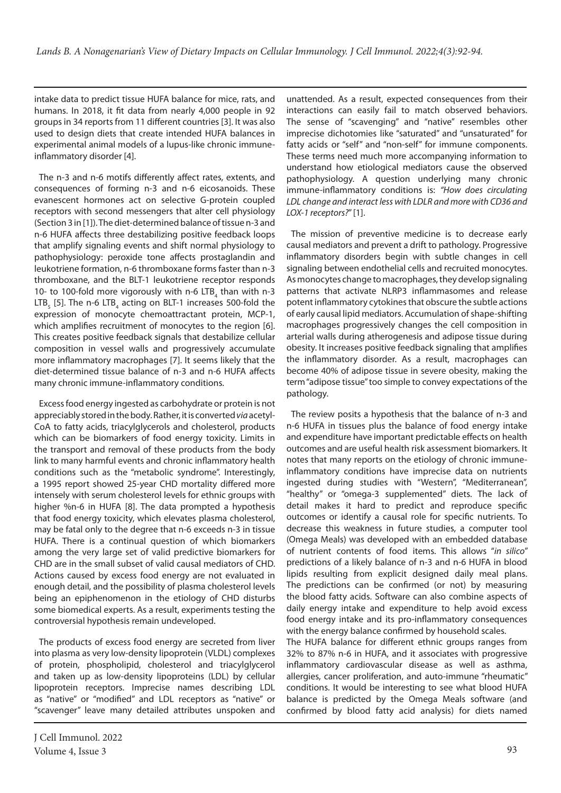intake data to predict tissue HUFA balance for mice, rats, and humans. In 2018, it fit data from nearly 4,000 people in 92 groups in 34 reports from 11 different countries [3]. It was also used to design diets that create intended HUFA balances in experimental animal models of a lupus-like chronic immuneinflammatory disorder [4].

The n-3 and n-6 motifs differently affect rates, extents, and consequences of forming n-3 and n-6 eicosanoids. These evanescent hormones act on selective G-protein coupled receptors with second messengers that alter cell physiology (Section 3 in [1]). The diet-determined balance of tissue n-3 and n-6 HUFA affects three destabilizing positive feedback loops that amplify signaling events and shift normal physiology to pathophysiology: peroxide tone affects prostaglandin and leukotriene formation, n-6 thromboxane forms faster than n-3 thromboxane, and the BLT-1 leukotriene receptor responds 10- to 100-fold more vigorously with n-6  $LTB<sub>4</sub>$  than with n-3 LTB<sub>5</sub> [5]. The n-6 LTB<sub>4</sub> acting on BLT-1 increases 500-fold the expression of monocyte chemoattractant protein, MCP-1, which amplifies recruitment of monocytes to the region [6]. This creates positive feedback signals that destabilize cellular composition in vessel walls and progressively accumulate more inflammatory macrophages [7]. It seems likely that the diet-determined tissue balance of n-3 and n-6 HUFA affects many chronic immune-inflammatory conditions.

Excess food energy ingested as carbohydrate or protein is not appreciably stored in the body. Rather, it is converted *via* acetyl-CoA to fatty acids, triacylglycerols and cholesterol, products which can be biomarkers of food energy toxicity. Limits in the transport and removal of these products from the body link to many harmful events and chronic inflammatory health conditions such as the "metabolic syndrome". Interestingly, a 1995 report showed 25-year CHD mortality differed more intensely with serum cholesterol levels for ethnic groups with higher %n-6 in HUFA [8]. The data prompted a hypothesis that food energy toxicity, which elevates plasma cholesterol, may be fatal only to the degree that n-6 exceeds n-3 in tissue HUFA. There is a continual question of which biomarkers among the very large set of valid predictive biomarkers for CHD are in the small subset of valid causal mediators of CHD. Actions caused by excess food energy are not evaluated in enough detail, and the possibility of plasma cholesterol levels being an epiphenomenon in the etiology of CHD disturbs some biomedical experts. As a result, experiments testing the controversial hypothesis remain undeveloped.

The products of excess food energy are secreted from liver into plasma as very low-density lipoprotein (VLDL) complexes of protein, phospholipid, cholesterol and triacylglycerol and taken up as low-density lipoproteins (LDL) by cellular lipoprotein receptors. Imprecise names describing LDL as "native" or "modified" and LDL receptors as "native" or "scavenger" leave many detailed attributes unspoken and unattended. As a result, expected consequences from their interactions can easily fail to match observed behaviors. The sense of "scavenging" and "native" resembles other imprecise dichotomies like "saturated" and "unsaturated" for fatty acids or "self" and "non-self" for immune components. These terms need much more accompanying information to understand how etiological mediators cause the observed pathophysiology. A question underlying many chronic immune-inflammatory conditions is: *"How does circulating LDL change and interact less with LDLR and more with CD36 and LOX-1 receptors?*" [1].

The mission of preventive medicine is to decrease early causal mediators and prevent a drift to pathology. Progressive inflammatory disorders begin with subtle changes in cell signaling between endothelial cells and recruited monocytes. As monocytes change to macrophages, they develop signaling patterns that activate NLRP3 inflammasomes and release potent inflammatory cytokines that obscure the subtle actions of early causal lipid mediators. Accumulation of shape-shifting macrophages progressively changes the cell composition in arterial walls during atherogenesis and adipose tissue during obesity. It increases positive feedback signaling that amplifies the inflammatory disorder. As a result, macrophages can become 40% of adipose tissue in severe obesity, making the term "adipose tissue" too simple to convey expectations of the pathology.

The review posits a hypothesis that the balance of n-3 and n-6 HUFA in tissues plus the balance of food energy intake and expenditure have important predictable effects on health outcomes and are useful health risk assessment biomarkers. It notes that many reports on the etiology of chronic immuneinflammatory conditions have imprecise data on nutrients ingested during studies with "Western", "Mediterranean", "healthy" or "omega-3 supplemented" diets. The lack of detail makes it hard to predict and reproduce specific outcomes or identify a causal role for specific nutrients. To decrease this weakness in future studies, a computer tool (Omega Meals) was developed with an embedded database of nutrient contents of food items. This allows "*in silico*" predictions of a likely balance of n-3 and n-6 HUFA in blood lipids resulting from explicit designed daily meal plans. The predictions can be confirmed (or not) by measuring the blood fatty acids. Software can also combine aspects of daily energy intake and expenditure to help avoid excess food energy intake and its pro-inflammatory consequences with the energy balance confirmed by household scales.

The HUFA balance for different ethnic groups ranges from 32% to 87% n-6 in HUFA, and it associates with progressive inflammatory cardiovascular disease as well as asthma, allergies, cancer proliferation, and auto-immune "rheumatic" conditions. It would be interesting to see what blood HUFA balance is predicted by the Omega Meals software (and confirmed by blood fatty acid analysis) for diets named